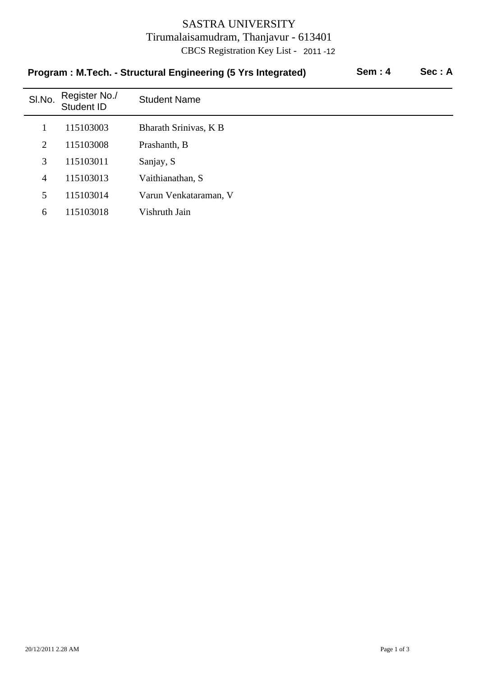## SASTRA UNIVERSITY Tirumalaisamudram, Thanjavur - 613401 CBCS Registration Key List - 2011 -12

| <b>Sem: 4</b><br>Program: M.Tech. - Structural Engineering (5 Yrs Integrated) |                             |                       |  |  |  |
|-------------------------------------------------------------------------------|-----------------------------|-----------------------|--|--|--|
| SI.No.                                                                        | Register No./<br>Student ID | <b>Student Name</b>   |  |  |  |
|                                                                               | 115103003                   | Bharath Srinivas, K B |  |  |  |
| 2                                                                             | 115103008                   | Prashanth, B          |  |  |  |
| 3                                                                             | 115103011                   | Sanjay, S             |  |  |  |
| $\overline{4}$                                                                | 115103013                   | Vaithianathan, S      |  |  |  |
| 5                                                                             | 115103014                   | Varun Venkataraman, V |  |  |  |
| 6                                                                             | 115103018                   | Vishruth Jain         |  |  |  |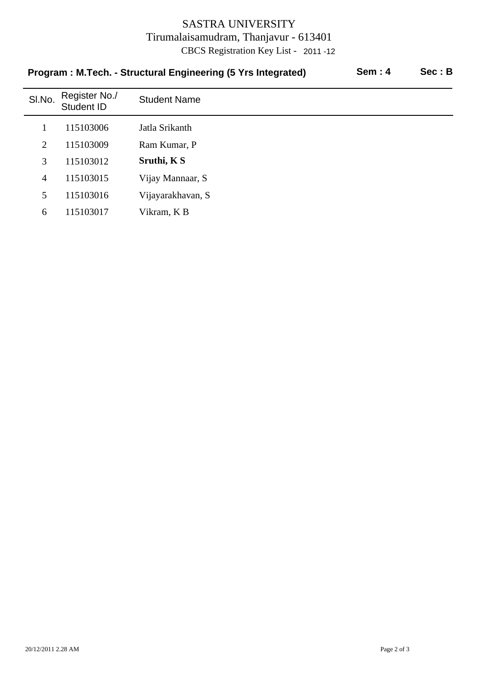## SASTRA UNIVERSITY Tirumalaisamudram, Thanjavur - 613401 CBCS Registration Key List - 2011 -12

|        | Program: M.Tech. - Structural Engineering (5 Yrs Integrated) | <b>Sem: 4</b>       | Sec: B |  |
|--------|--------------------------------------------------------------|---------------------|--------|--|
| SI.No. | Register No./<br>Student ID                                  | <b>Student Name</b> |        |  |
|        | 115103006                                                    | Jatla Srikanth      |        |  |
| 2      | 115103009                                                    | Ram Kumar, P        |        |  |
| 3      | 115103012                                                    | Sruthi, K S         |        |  |
| 4      | 115103015                                                    | Vijay Mannaar, S    |        |  |
| 5      | 115103016                                                    | Vijayarakhavan, S   |        |  |
| 6      | 115103017                                                    | Vikram, K B         |        |  |